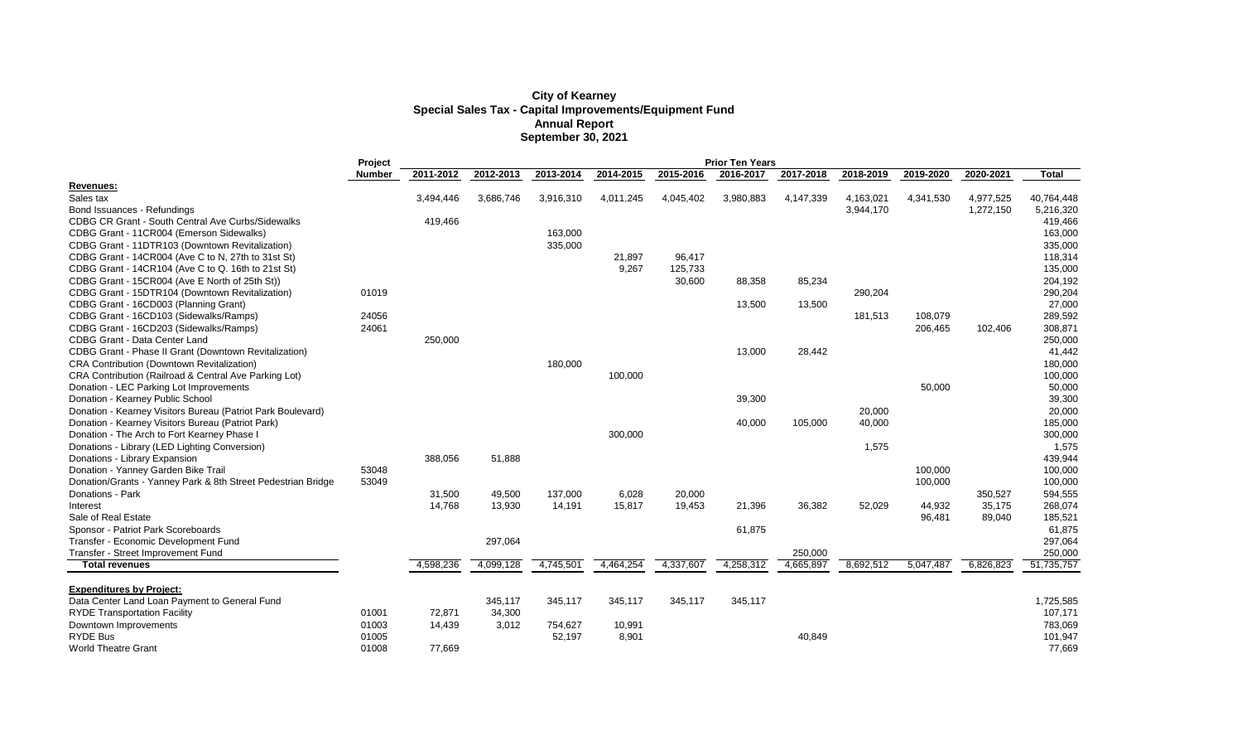## **City of Kearney Special Sales Tax - Capital Improvements/Equipment Fund Annual Report September 30, 2021**

|                                                              | Project       | <b>Prior Ten Years</b> |           |           |           |           |           |           |           |           |           |              |
|--------------------------------------------------------------|---------------|------------------------|-----------|-----------|-----------|-----------|-----------|-----------|-----------|-----------|-----------|--------------|
|                                                              | <b>Number</b> | 2011-2012              | 2012-2013 | 2013-2014 | 2014-2015 | 2015-2016 | 2016-2017 | 2017-2018 | 2018-2019 | 2019-2020 | 2020-2021 | <b>Total</b> |
| Revenues:                                                    |               |                        |           |           |           |           |           |           |           |           |           |              |
| Sales tax                                                    |               | 3,494,446              | 3,686,746 | 3,916,310 | 4,011,245 | 4,045,402 | 3,980,883 | 4,147,339 | 4,163,021 | 4,341,530 | 4,977,525 | 40,764,448   |
| Bond Issuances - Refundings                                  |               |                        |           |           |           |           |           |           | 3,944,170 |           | 1,272,150 | 5,216,320    |
| <b>CDBG CR Grant - South Central Ave Curbs/Sidewalks</b>     |               | 419,466                |           |           |           |           |           |           |           |           |           | 419,466      |
| CDBG Grant - 11CR004 (Emerson Sidewalks)                     |               |                        |           | 163,000   |           |           |           |           |           |           |           | 163,000      |
| CDBG Grant - 11DTR103 (Downtown Revitalization)              |               |                        |           | 335,000   |           |           |           |           |           |           |           | 335,000      |
| CDBG Grant - 14CR004 (Ave C to N, 27th to 31st St)           |               |                        |           |           | 21,897    | 96,417    |           |           |           |           |           | 118,314      |
| CDBG Grant - 14CR104 (Ave C to Q. 16th to 21st St)           |               |                        |           |           | 9,267     | 125,733   |           |           |           |           |           | 135,000      |
| CDBG Grant - 15CR004 (Ave E North of 25th St))               |               |                        |           |           |           | 30,600    | 88,358    | 85,234    |           |           |           | 204,192      |
| CDBG Grant - 15DTR104 (Downtown Revitalization)              | 01019         |                        |           |           |           |           |           |           | 290,204   |           |           | 290,204      |
| CDBG Grant - 16CD003 (Planning Grant)                        |               |                        |           |           |           |           | 13,500    | 13,500    |           |           |           | 27,000       |
| CDBG Grant - 16CD103 (Sidewalks/Ramps)                       | 24056         |                        |           |           |           |           |           |           | 181,513   | 108,079   |           | 289,592      |
| CDBG Grant - 16CD203 (Sidewalks/Ramps)                       | 24061         |                        |           |           |           |           |           |           |           | 206,465   | 102,406   | 308,871      |
| <b>CDBG Grant - Data Center Land</b>                         |               | 250,000                |           |           |           |           |           |           |           |           |           | 250,000      |
| CDBG Grant - Phase II Grant (Downtown Revitalization)        |               |                        |           |           |           |           | 13,000    | 28,442    |           |           |           | 41,442       |
| <b>CRA Contribution (Downtown Revitalization)</b>            |               |                        |           | 180,000   |           |           |           |           |           |           |           | 180,000      |
| CRA Contribution (Railroad & Central Ave Parking Lot)        |               |                        |           |           | 100,000   |           |           |           |           |           |           | 100,000      |
| Donation - LEC Parking Lot Improvements                      |               |                        |           |           |           |           |           |           |           | 50,000    |           | 50,000       |
| Donation - Kearney Public School                             |               |                        |           |           |           |           | 39,300    |           |           |           |           | 39,300       |
| Donation - Kearney Visitors Bureau (Patriot Park Boulevard)  |               |                        |           |           |           |           |           |           | 20,000    |           |           | 20,000       |
| Donation - Kearney Visitors Bureau (Patriot Park)            |               |                        |           |           |           |           | 40,000    | 105,000   | 40,000    |           |           | 185,000      |
| Donation - The Arch to Fort Kearney Phase I                  |               |                        |           |           | 300,000   |           |           |           |           |           |           | 300,000      |
| Donations - Library (LED Lighting Conversion)                |               |                        |           |           |           |           |           |           | 1,575     |           |           | 1,575        |
| Donations - Library Expansion                                |               | 388,056                | 51,888    |           |           |           |           |           |           |           |           | 439,944      |
| Donation - Yanney Garden Bike Trail                          | 53048         |                        |           |           |           |           |           |           |           | 100,000   |           | 100,000      |
| Donation/Grants - Yanney Park & 8th Street Pedestrian Bridge | 53049         |                        |           |           |           |           |           |           |           | 100,000   |           | 100,000      |
| Donations - Park                                             |               | 31,500                 | 49,500    | 137,000   | 6,028     | 20,000    |           |           |           |           | 350,527   | 594,555      |
| Interest                                                     |               | 14,768                 | 13,930    | 14,191    | 15,817    | 19,453    | 21,396    | 36,382    | 52,029    | 44,932    | 35,175    | 268,074      |
| Sale of Real Estate                                          |               |                        |           |           |           |           |           |           |           | 96,481    | 89,040    | 185,521      |
| Sponsor - Patriot Park Scoreboards                           |               |                        |           |           |           |           | 61,875    |           |           |           |           | 61,875       |
| Transfer - Economic Development Fund                         |               |                        | 297,064   |           |           |           |           |           |           |           |           | 297,064      |
| Transfer - Street Improvement Fund                           |               |                        |           |           |           |           |           | 250,000   |           |           |           | 250,000      |
| <b>Total revenues</b>                                        |               | 4,598,236              | 4,099,128 | 4,745,501 | 4,464,254 | 4,337,607 | 4,258,312 | 4,665,897 | 8,692,512 | 5,047,487 | 6,826,823 | 51,735,757   |
|                                                              |               |                        |           |           |           |           |           |           |           |           |           |              |
| <b>Expenditures by Project:</b>                              |               |                        |           |           |           |           |           |           |           |           |           |              |
| Data Center Land Loan Payment to General Fund                |               |                        | 345,117   | 345,117   | 345,117   | 345,117   | 345,117   |           |           |           |           | 1,725,585    |
| <b>RYDE Transportation Facility</b>                          | 01001         | 72,871                 | 34,300    |           |           |           |           |           |           |           |           | 107,171      |
| Downtown Improvements                                        | 01003         | 14,439                 | 3,012     | 754,627   | 10,991    |           |           |           |           |           |           | 783,069      |
| <b>RYDE Bus</b>                                              | 01005         |                        |           | 52,197    | 8,901     |           |           | 40,849    |           |           |           | 101,947      |
| <b>World Theatre Grant</b>                                   | 01008         | 77,669                 |           |           |           |           |           |           |           |           |           | 77,669       |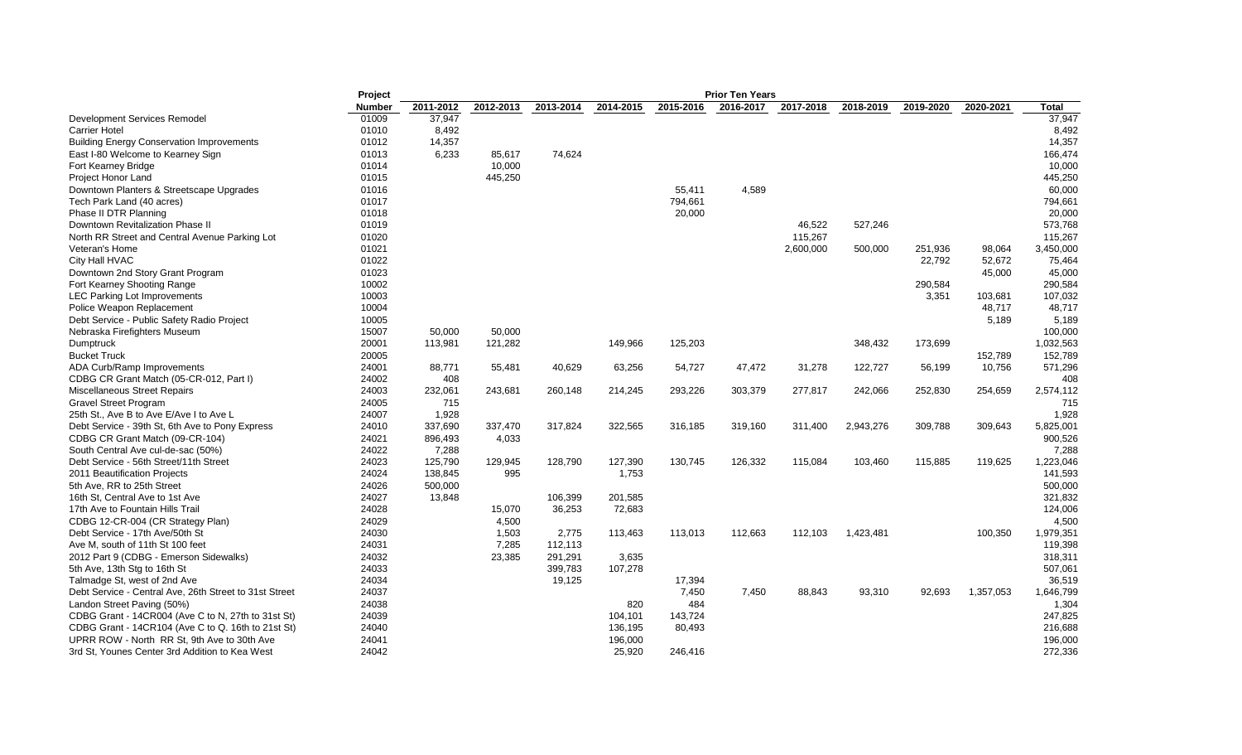|                                                        | Project        |           |           |           |           |           | <b>Prior Ten Years</b> |           |           |           |           |           |
|--------------------------------------------------------|----------------|-----------|-----------|-----------|-----------|-----------|------------------------|-----------|-----------|-----------|-----------|-----------|
|                                                        | <b>Number</b>  | 2011-2012 | 2012-2013 | 2013-2014 | 2014-2015 | 2015-2016 | 2016-2017              | 2017-2018 | 2018-2019 | 2019-2020 | 2020-2021 | Total     |
| Development Services Remodel                           | 01009          | 37,947    |           |           |           |           |                        |           |           |           |           | 37,947    |
| <b>Carrier Hotel</b>                                   | 01010          | 8,492     |           |           |           |           |                        |           |           |           |           | 8,492     |
| <b>Building Energy Conservation Improvements</b>       | 01012          | 14,357    |           |           |           |           |                        |           |           |           |           | 14,357    |
| East I-80 Welcome to Kearney Sign                      | 01013          | 6,233     | 85,617    | 74,624    |           |           |                        |           |           |           |           | 166,474   |
| Fort Kearney Bridge                                    | 01014          |           | 10,000    |           |           |           |                        |           |           |           |           | 10,000    |
| Project Honor Land                                     | 01015          |           | 445,250   |           |           |           |                        |           |           |           |           | 445,250   |
| Downtown Planters & Streetscape Upgrades               | 01016          |           |           |           |           | 55,411    | 4,589                  |           |           |           |           | 60,000    |
| Tech Park Land (40 acres)                              | 01017          |           |           |           |           | 794,661   |                        |           |           |           |           | 794,661   |
| Phase II DTR Planning                                  | 01018          |           |           |           |           | 20,000    |                        |           |           |           |           | 20,000    |
| Downtown Revitalization Phase II                       | 01019          |           |           |           |           |           |                        | 46,522    | 527,246   |           |           | 573,768   |
| North RR Street and Central Avenue Parking Lot         | 01020          |           |           |           |           |           |                        | 115,267   |           |           |           | 115,267   |
| Veteran's Home                                         | 01021          |           |           |           |           |           |                        | 2,600,000 | 500,000   | 251,936   | 98,064    | 3,450,000 |
| City Hall HVAC                                         | 01022          |           |           |           |           |           |                        |           |           | 22,792    | 52,672    | 75,464    |
| Downtown 2nd Story Grant Program                       | 01023          |           |           |           |           |           |                        |           |           |           | 45,000    | 45,000    |
| Fort Kearney Shooting Range                            | 10002          |           |           |           |           |           |                        |           |           | 290,584   |           | 290,584   |
| <b>LEC Parking Lot Improvements</b>                    | 10003          |           |           |           |           |           |                        |           |           | 3,351     | 103,681   | 107,032   |
| Police Weapon Replacement                              | 10004          |           |           |           |           |           |                        |           |           |           | 48,717    | 48,717    |
| Debt Service - Public Safety Radio Project             | 10005          |           |           |           |           |           |                        |           |           |           | 5,189     | 5,189     |
| Nebraska Firefighters Museum                           | 15007          | 50,000    | 50,000    |           |           |           |                        |           |           |           |           | 100,000   |
| Dumptruck                                              | 20001          | 113,981   | 121,282   |           | 149,966   | 125,203   |                        |           | 348,432   | 173,699   |           | 1,032,563 |
| <b>Bucket Truck</b>                                    | 20005          |           |           |           |           |           |                        |           |           |           | 152,789   | 152,789   |
| ADA Curb/Ramp Improvements                             | 24001          | 88,771    | 55,481    | 40,629    | 63,256    | 54,727    | 47,472                 | 31,278    | 122,727   | 56,199    | 10,756    | 571,296   |
|                                                        | 24002          | 408       |           |           |           |           |                        |           |           |           |           | 408       |
| CDBG CR Grant Match (05-CR-012, Part I)                | 24003          |           |           |           |           |           |                        |           |           |           |           |           |
| <b>Miscellaneous Street Repairs</b>                    |                | 232,061   | 243,681   | 260,148   | 214,245   | 293,226   | 303,379                | 277,817   | 242,066   | 252,830   | 254,659   | 2,574,112 |
| <b>Gravel Street Program</b>                           | 24005<br>24007 | 715       |           |           |           |           |                        |           |           |           |           | 715       |
| 25th St., Ave B to Ave E/Ave I to Ave L                |                | 1,928     |           |           |           |           |                        |           |           |           |           | 1,928     |
| Debt Service - 39th St, 6th Ave to Pony Express        | 24010          | 337,690   | 337,470   | 317,824   | 322,565   | 316,185   | 319,160                | 311,400   | 2,943,276 | 309,788   | 309,643   | 5,825,001 |
| CDBG CR Grant Match (09-CR-104)                        | 24021          | 896,493   | 4,033     |           |           |           |                        |           |           |           |           | 900,526   |
| South Central Ave cul-de-sac (50%)                     | 24022          | 7,288     |           |           |           |           |                        |           |           |           |           | 7,288     |
| Debt Service - 56th Street/11th Street                 | 24023          | 125,790   | 129,945   | 128,790   | 127,390   | 130,745   | 126,332                | 115,084   | 103,460   | 115,885   | 119,625   | 1,223,046 |
| 2011 Beautification Projects                           | 24024          | 138,845   | 995       |           | 1,753     |           |                        |           |           |           |           | 141,593   |
| 5th Ave, RR to 25th Street                             | 24026          | 500,000   |           |           |           |           |                        |           |           |           |           | 500,000   |
| 16th St. Central Ave to 1st Ave                        | 24027          | 13,848    |           | 106,399   | 201,585   |           |                        |           |           |           |           | 321,832   |
| 17th Ave to Fountain Hills Trail                       | 24028          |           | 15,070    | 36,253    | 72,683    |           |                        |           |           |           |           | 124,006   |
| CDBG 12-CR-004 (CR Strategy Plan)                      | 24029          |           | 4.500     |           |           |           |                        |           |           |           |           | 4,500     |
| Debt Service - 17th Ave/50th St                        | 24030          |           | 1,503     | 2,775     | 113,463   | 113,013   | 112,663                | 112,103   | 1,423,481 |           | 100,350   | 1,979,351 |
| Ave M, south of 11th St 100 feet                       | 24031          |           | 7,285     | 112,113   |           |           |                        |           |           |           |           | 119,398   |
| 2012 Part 9 (CDBG - Emerson Sidewalks)                 | 24032          |           | 23,385    | 291,291   | 3,635     |           |                        |           |           |           |           | 318,311   |
| 5th Ave, 13th Stg to 16th St                           | 24033          |           |           | 399,783   | 107,278   |           |                        |           |           |           |           | 507,061   |
| Talmadge St, west of 2nd Ave                           | 24034          |           |           | 19,125    |           | 17,394    |                        |           |           |           |           | 36,519    |
| Debt Service - Central Ave, 26th Street to 31st Street | 24037          |           |           |           |           | 7,450     | 7,450                  | 88,843    | 93,310    | 92,693    | 1,357,053 | 1,646,799 |
| Landon Street Paving (50%)                             | 24038          |           |           |           | 820       | 484       |                        |           |           |           |           | 1,304     |
| CDBG Grant - 14CR004 (Ave C to N, 27th to 31st St)     | 24039          |           |           |           | 104,101   | 143,724   |                        |           |           |           |           | 247,825   |
| CDBG Grant - 14CR104 (Ave C to Q. 16th to 21st St)     | 24040          |           |           |           | 136,195   | 80,493    |                        |           |           |           |           | 216,688   |
| UPRR ROW - North RR St, 9th Ave to 30th Ave            | 24041          |           |           |           | 196,000   |           |                        |           |           |           |           | 196,000   |
| 3rd St, Younes Center 3rd Addition to Kea West         | 24042          |           |           |           | 25,920    | 246.416   |                        |           |           |           |           | 272,336   |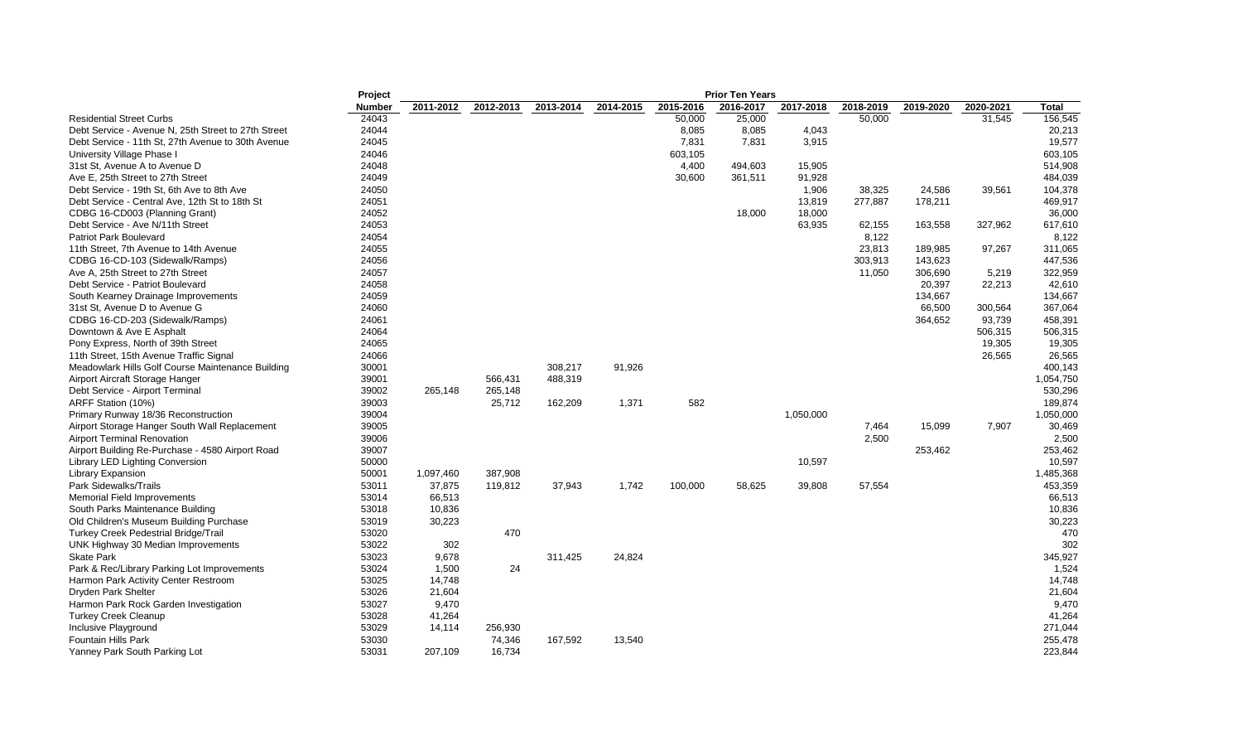|                                                     | Project       |           |           |           |           |           | <b>Prior Ten Years</b> |           |           |           |           |           |
|-----------------------------------------------------|---------------|-----------|-----------|-----------|-----------|-----------|------------------------|-----------|-----------|-----------|-----------|-----------|
|                                                     | <b>Number</b> | 2011-2012 | 2012-2013 | 2013-2014 | 2014-2015 | 2015-2016 | 2016-2017              | 2017-2018 | 2018-2019 | 2019-2020 | 2020-2021 | Total     |
| <b>Residential Street Curbs</b>                     | 24043         |           |           |           |           | 50,000    | 25,000                 |           | 50,000    |           | 31,545    | 156,545   |
| Debt Service - Avenue N, 25th Street to 27th Street | 24044         |           |           |           |           | 8,085     | 8,085                  | 4,043     |           |           |           | 20,213    |
| Debt Service - 11th St, 27th Avenue to 30th Avenue  | 24045         |           |           |           |           | 7,831     | 7,831                  | 3,915     |           |           |           | 19,577    |
| University Village Phase I                          | 24046         |           |           |           |           | 603,105   |                        |           |           |           |           | 603,105   |
| 31st St, Avenue A to Avenue D                       | 24048         |           |           |           |           | 4,400     | 494,603                | 15,905    |           |           |           | 514,908   |
| Ave E, 25th Street to 27th Street                   | 24049         |           |           |           |           | 30,600    | 361,511                | 91,928    |           |           |           | 484,039   |
| Debt Service - 19th St, 6th Ave to 8th Ave          | 24050         |           |           |           |           |           |                        | 1,906     | 38,325    | 24,586    | 39,561    | 104,378   |
| Debt Service - Central Ave, 12th St to 18th St      | 24051         |           |           |           |           |           |                        | 13,819    | 277,887   | 178,211   |           | 469,917   |
| CDBG 16-CD003 (Planning Grant)                      | 24052         |           |           |           |           |           | 18,000                 | 18,000    |           |           |           | 36,000    |
| Debt Service - Ave N/11th Street                    | 24053         |           |           |           |           |           |                        | 63,935    | 62,155    | 163,558   | 327,962   | 617,610   |
| <b>Patriot Park Boulevard</b>                       | 24054         |           |           |           |           |           |                        |           | 8,122     |           |           | 8,122     |
| 11th Street, 7th Avenue to 14th Avenue              | 24055         |           |           |           |           |           |                        |           | 23,813    | 189,985   | 97,267    | 311,065   |
| CDBG 16-CD-103 (Sidewalk/Ramps)                     | 24056         |           |           |           |           |           |                        |           | 303,913   | 143,623   |           | 447,536   |
| Ave A, 25th Street to 27th Street                   | 24057         |           |           |           |           |           |                        |           | 11,050    | 306,690   | 5,219     | 322,959   |
| Debt Service - Patriot Boulevard                    | 24058         |           |           |           |           |           |                        |           |           | 20,397    | 22,213    | 42,610    |
| South Kearney Drainage Improvements                 | 24059         |           |           |           |           |           |                        |           |           | 134,667   |           | 134,667   |
| 31st St, Avenue D to Avenue G                       | 24060         |           |           |           |           |           |                        |           |           | 66,500    | 300,564   | 367,064   |
| CDBG 16-CD-203 (Sidewalk/Ramps)                     | 24061         |           |           |           |           |           |                        |           |           | 364,652   | 93,739    | 458,391   |
| Downtown & Ave E Asphalt                            | 24064         |           |           |           |           |           |                        |           |           |           | 506,315   | 506,315   |
| Pony Express, North of 39th Street                  | 24065         |           |           |           |           |           |                        |           |           |           | 19,305    | 19,305    |
| 11th Street, 15th Avenue Traffic Signal             | 24066         |           |           |           |           |           |                        |           |           |           | 26,565    | 26,565    |
| Meadowlark Hills Golf Course Maintenance Building   | 30001         |           |           | 308,217   | 91,926    |           |                        |           |           |           |           | 400,143   |
| Airport Aircraft Storage Hanger                     | 39001         |           | 566,431   | 488,319   |           |           |                        |           |           |           |           | 1,054,750 |
|                                                     |               |           |           |           |           |           |                        |           |           |           |           | 530,296   |
| Debt Service - Airport Terminal                     | 39002         | 265,148   | 265,148   |           |           |           |                        |           |           |           |           |           |
| ARFF Station (10%)                                  | 39003         |           | 25,712    | 162,209   | 1,371     | 582       |                        |           |           |           |           | 189,874   |
| Primary Runway 18/36 Reconstruction                 | 39004         |           |           |           |           |           |                        | 1,050,000 |           |           |           | 1,050,000 |
| Airport Storage Hanger South Wall Replacement       | 39005         |           |           |           |           |           |                        |           | 7,464     | 15,099    | 7,907     | 30,469    |
| <b>Airport Terminal Renovation</b>                  | 39006         |           |           |           |           |           |                        |           | 2,500     |           |           | 2,500     |
| Airport Building Re-Purchase - 4580 Airport Road    | 39007         |           |           |           |           |           |                        |           |           | 253,462   |           | 253,462   |
| Library LED Lighting Conversion                     | 50000         |           |           |           |           |           |                        | 10,597    |           |           |           | 10,597    |
| <b>Library Expansion</b>                            | 50001         | 1,097,460 | 387,908   |           |           |           |                        |           |           |           |           | 1,485,368 |
| Park Sidewalks/Trails                               | 53011         | 37,875    | 119,812   | 37,943    | 1,742     | 100,000   | 58,625                 | 39,808    | 57,554    |           |           | 453,359   |
| Memorial Field Improvements                         | 53014         | 66,513    |           |           |           |           |                        |           |           |           |           | 66,513    |
| South Parks Maintenance Building                    | 53018         | 10,836    |           |           |           |           |                        |           |           |           |           | 10,836    |
| Old Children's Museum Building Purchase             | 53019         | 30,223    |           |           |           |           |                        |           |           |           |           | 30,223    |
| Turkey Creek Pedestrial Bridge/Trail                | 53020         |           | 470       |           |           |           |                        |           |           |           |           | 470       |
| UNK Highway 30 Median Improvements                  | 53022         | 302       |           |           |           |           |                        |           |           |           |           | 302       |
| <b>Skate Park</b>                                   | 53023         | 9,678     |           | 311,425   | 24,824    |           |                        |           |           |           |           | 345,927   |
| Park & Rec/Library Parking Lot Improvements         | 53024         | 1,500     | 24        |           |           |           |                        |           |           |           |           | 1,524     |
| Harmon Park Activity Center Restroom                | 53025         | 14,748    |           |           |           |           |                        |           |           |           |           | 14,748    |
| Dryden Park Shelter                                 | 53026         | 21,604    |           |           |           |           |                        |           |           |           |           | 21,604    |
| Harmon Park Rock Garden Investigation               | 53027         | 9,470     |           |           |           |           |                        |           |           |           |           | 9,470     |
| <b>Turkey Creek Cleanup</b>                         | 53028         | 41,264    |           |           |           |           |                        |           |           |           |           | 41,264    |
| Inclusive Playground                                | 53029         | 14,114    | 256,930   |           |           |           |                        |           |           |           |           | 271,044   |
| Fountain Hills Park                                 | 53030         |           | 74,346    | 167,592   | 13,540    |           |                        |           |           |           |           | 255,478   |
| Yanney Park South Parking Lot                       | 53031         | 207.109   | 16.734    |           |           |           |                        |           |           |           |           | 223,844   |